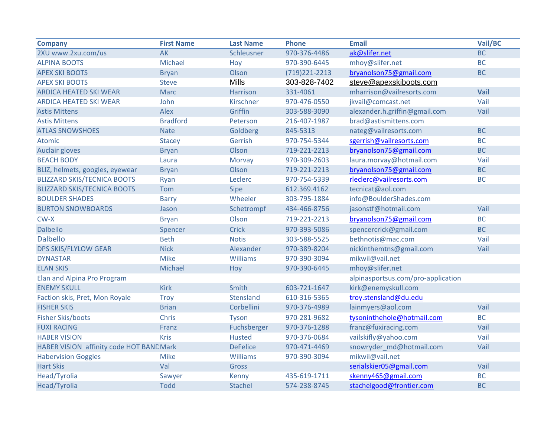| <b>Company</b>                           | <b>First Name</b> | <b>Last Name</b> | <b>Phone</b>     | <b>Email</b>                       | Vail/BC   |
|------------------------------------------|-------------------|------------------|------------------|------------------------------------|-----------|
| 2XU www.2xu.com/us                       | <b>AK</b>         | Schleusner       | 970-376-4486     | ak@slifer.net                      | <b>BC</b> |
| <b>ALPINA BOOTS</b>                      | Michael           | Hoy              | 970-390-6445     | mhoy@slifer.net                    | <b>BC</b> |
| <b>APEX SKI BOOTS</b>                    | <b>Bryan</b>      | Olson            | (719) 221 - 2213 | bryanolson75@gmail.com             | <b>BC</b> |
| <b>APEX SKI BOOTS</b>                    | <b>Steve</b>      | <b>Mills</b>     | 303-828-7402     | steve@apexskiboots.com             |           |
| <b>ARDICA HEATED SKI WEAR</b>            | <b>Marc</b>       | Harrison         | 331-4061         | mharrison@vailresorts.com          | Vail      |
| <b>ARDICA HEATED SKI WEAR</b>            | John              | Kirschner        | 970-476-0550     | jkvail@comcast.net                 | Vail      |
| <b>Astis Mittens</b>                     | Alex              | Griffin          | 303-588-3090     | alexander.h.griffin@gmail.com      | Vail      |
| <b>Astis Mittens</b>                     | <b>Bradford</b>   | Peterson         | 216-407-1987     | brad@astismittens.com              |           |
| <b>ATLAS SNOWSHOES</b>                   | <b>Nate</b>       | Goldberg         | 845-5313         | nateg@vailresorts.com              | <b>BC</b> |
| Atomic                                   | <b>Stacey</b>     | Gerrish          | 970-754-5344     | sgerrish@vailresorts.com           | <b>BC</b> |
| Auclair gloves                           | <b>Bryan</b>      | Olson            | 719-221-2213     | bryanolson75@gmail.com             | <b>BC</b> |
| <b>BEACH BODY</b>                        | Laura             | Morvay           | 970-309-2603     | laura.morvay@hotmail.com           | Vail      |
| BLIZ, helmets, googles, eyewear          | <b>Bryan</b>      | Olson            | 719-221-2213     | bryanolson75@gmail.com             | <b>BC</b> |
| <b>BLIZZARD SKIS/TECNICA BOOTS</b>       | Ryan              | Leclerc          | 970-754-5339     | rleclerc@vailresorts.com           | <b>BC</b> |
| <b>BLIZZARD SKIS/TECNICA BOOTS</b>       | Tom               | <b>Sipe</b>      | 612.369.4162     | tecnicat@aol.com                   |           |
| <b>BOULDER SHADES</b>                    | <b>Barry</b>      | Wheeler          | 303-795-1884     | info@BoulderShades.com             |           |
| <b>BURTON SNOWBOARDS</b>                 | Jason             | Schetrompf       | 434-466-8756     | jasonstf@hotmail.com               | Vail      |
| $CW-X$                                   | <b>Bryan</b>      | Olson            | 719-221-2213     | bryanolson75@gmail.com             | <b>BC</b> |
| <b>Dalbello</b>                          | Spencer           | Crick            | 970-393-5086     | spencercrick@gmail.com             | <b>BC</b> |
| <b>Dalbello</b>                          | <b>Beth</b>       | <b>Notis</b>     | 303-588-5525     | bethnotis@mac.com                  | Vail      |
| <b>DPS SKIS/FLYLOW GEAR</b>              | <b>Nick</b>       | Alexander        | 970-389-8204     | nickinthemtns@gmail.com            | Vail      |
| <b>DYNASTAR</b>                          | <b>Mike</b>       | Williams         | 970-390-3094     | mikwil@vail.net                    |           |
| <b>ELAN SKIS</b>                         | Michael           | Hoy              | 970-390-6445     | mhoy@slifer.net                    |           |
| Elan and Alpina Pro Program              |                   |                  |                  | alpinasportsus.com/pro-application |           |
| <b>ENEMY SKULL</b>                       | <b>Kirk</b>       | Smith            | 603-721-1647     | kirk@enemyskull.com                |           |
| Faction skis, Pret, Mon Royale           | <b>Troy</b>       | Stensland        | 610-316-5365     | troy.stensland@du.edu              |           |
| <b>FISHER SKIS</b>                       | <b>Brian</b>      | Corbellini       | 970-376-4989     | lainmyers@aol.com                  | Vail      |
| <b>Fisher Skis/boots</b>                 | Chris             | Tyson            | 970-281-9682     | tysoninthehole@hotmail.com         | <b>BC</b> |
| <b>FUXI RACING</b>                       | Franz             | Fuchsberger      | 970-376-1288     | franz@fuxiracing.com               | Vail      |
| <b>HABER VISION</b>                      | <b>Kris</b>       | <b>Husted</b>    | 970-376-0684     | vailskifly@yahoo.com               | Vail      |
| HABER VISION affinity code HOT BANE Mark |                   | <b>DeFelice</b>  | 970-471-4469     | snowryder_md@hotmail.com           | Vail      |
| <b>Habervision Goggles</b>               | <b>Mike</b>       | Williams         | 970-390-3094     | mikwil@vail.net                    |           |
| <b>Hart Skis</b>                         | Val               | Gross            |                  | serialskier05@gmail.com            | Vail      |
| Head/Tyrolia                             | Sawyer            | Kenny            | 435-619-1711     | skenny465@gmail.com                | <b>BC</b> |
| Head/Tyrolia                             | <b>Todd</b>       | Stachel          | 574-238-8745     | stachelgood@frontier.com           | <b>BC</b> |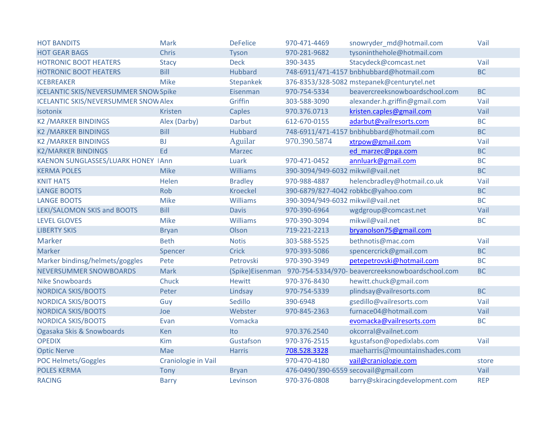| <b>HOT BANDITS</b>                           | <b>Mark</b>         | <b>DeFelice</b>  | 970-471-4469                      | snowryder md@hotmail.com                         | Vail       |
|----------------------------------------------|---------------------|------------------|-----------------------------------|--------------------------------------------------|------------|
| <b>HOT GEAR BAGS</b>                         | Chris               | <b>Tyson</b>     | 970-281-9682                      | tysoninthehole@hotmail.com                       |            |
| <b>HOTRONIC BOOT HEATERS</b>                 | <b>Stacy</b>        | <b>Deck</b>      | 390-3435                          | Stacydeck@comcast.net                            | Vail       |
| <b>HOTRONIC BOOT HEATERS</b>                 | Bill                | <b>Hubbard</b>   |                                   | 748-6911/471-4157 bnbhubbard@hotmail.com         | <b>BC</b>  |
| <b>ICEBREAKER</b>                            | <b>Mike</b>         | <b>Stepankek</b> |                                   | 376-8353/328-5082 mstepanek@centurytel.net       |            |
| <b>ICELANTIC SKIS/NEVERSUMMER SNOW Spike</b> |                     | Eisenman         | 970-754-5334                      | beavercreeksnowboardschool.com                   | <b>BC</b>  |
| <b>ICELANTIC SKIS/NEVERSUMMER SNOW Alex</b>  |                     | Griffin          | 303-588-3090                      | alexander.h.griffin@gmail.com                    | Vail       |
| Isotonix                                     | <b>Kristen</b>      | Caples           | 970.376.0713                      | kristen.caples@gmail.com                         | Vail       |
| <b>K2 /MARKER BINDINGS</b>                   | Alex (Darby)        | Darbut           | 612-670-0155                      | adarbut@vailresorts.com                          | <b>BC</b>  |
| <b>K2 /MARKER BINDINGS</b>                   | Bill                | <b>Hubbard</b>   |                                   | 748-6911/471-4157 bnbhubbard@hotmail.com         | <b>BC</b>  |
| <b>K2 /MARKER BINDINGS</b>                   | <b>BJ</b>           | Aguilar          | 970.390.5874                      | xtrpow@gmail.com                                 | Vail       |
| <b>K2/MARKER BINDINGS</b>                    | Ed                  | Marzec           |                                   | ed marzec@pga.com                                | <b>BC</b>  |
| KAENON SUNGLASSES/LUARK HONEY IAnn           |                     | Luark            | 970-471-0452                      | annluark@gmail.com                               | <b>BC</b>  |
| <b>KERMA POLES</b>                           | <b>Mike</b>         | <b>Williams</b>  | 390-3094/949-6032 mikwil@vail.net |                                                  | <b>BC</b>  |
| <b>KNIT HATS</b>                             | Helen               | <b>Bradley</b>   | 970-988-4887                      | helencbradley@hotmail.co.uk                      | Vail       |
| <b>LANGE BOOTS</b>                           | Rob                 | <b>Kroeckel</b>  |                                   | 390-6879/827-4042 robkbc@yahoo.com               | <b>BC</b>  |
| <b>LANGE BOOTS</b>                           | <b>Mike</b>         | <b>Williams</b>  | 390-3094/949-6032 mikwil@vail.net |                                                  | <b>BC</b>  |
| LEKI/SALOMON SKIS and BOOTS                  | Bill                | <b>Davis</b>     | 970-390-6964                      | wgdgroup@comcast.net                             | Vail       |
| <b>LEVEL GLOVES</b>                          | <b>Mike</b>         | <b>Williams</b>  | 970-390-3094                      | mikwil@vail.net                                  | <b>BC</b>  |
| <b>LIBERTY SKIS</b>                          | <b>Bryan</b>        | Olson            | 719-221-2213                      | bryanolson75@gmail.com                           |            |
| <b>Marker</b>                                | <b>Beth</b>         | <b>Notis</b>     | 303-588-5525                      | bethnotis@mac.com                                | Vail       |
| Marker                                       | Spencer             | <b>Crick</b>     | 970-393-5086                      | spencercrick@gmail.com                           | <b>BC</b>  |
| Marker bindinsg/helmets/goggles              | Pete                | Petrovski        | 970-390-3949                      | petepetrovski@hotmail.com                        | <b>BC</b>  |
| <b>NEVERSUMMER SNOWBOARDS</b>                | <b>Mark</b>         | (Spike)Eisenman  |                                   | 970-754-5334/970- beavercreeksnowboardschool.com | <b>BC</b>  |
| <b>Nike Snowboards</b>                       | Chuck               | <b>Hewitt</b>    | 970-376-8430                      | hewitt.chuck@gmail.com                           |            |
| <b>NORDICA SKIS/BOOTS</b>                    | Peter               | Lindsay          | 970-754-5339                      | plindsay@vailresorts.com                         | <b>BC</b>  |
| <b>NORDICA SKIS/BOOTS</b>                    | Guy                 | Sedillo          | 390-6948                          | gsedillo@vailresorts.com                         | Vail       |
| <b>NORDICA SKIS/BOOTS</b>                    | Joe                 | Webster          | 970-845-2363                      | furnace04@hotmail.com                            | Vail       |
| <b>NORDICA SKIS/BOOTS</b>                    | Evan                | Vomacka          |                                   | evomacka@vailresorts.com                         | <b>BC</b>  |
| Ogasaka Skis & Snowboards                    | Ken                 | Ito              | 970.376.2540                      | okcorral@vailnet.com                             |            |
| <b>OPEDIX</b>                                | Kim                 | Gustafson        | 970-376-2515                      | kgustafson@opedixlabs.com                        | Vail       |
| <b>Optic Nerve</b>                           | Mae                 | <b>Harris</b>    | 708.528.3328                      | maeharris@mountainshades.com                     |            |
| <b>POC Helmets/Goggles</b>                   | Craniologie in Vail |                  | 970-470-4180                      | vail@craniologie.com                             | store      |
| <b>POLES KERMA</b>                           | Tony                | <b>Bryan</b>     |                                   | 476-0490/390-6559 secovail@gmail.com             | Vail       |
| <b>RACING</b>                                | <b>Barry</b>        | Levinson         | 970-376-0808                      | barry@skiracingdevelopment.com                   | <b>REP</b> |